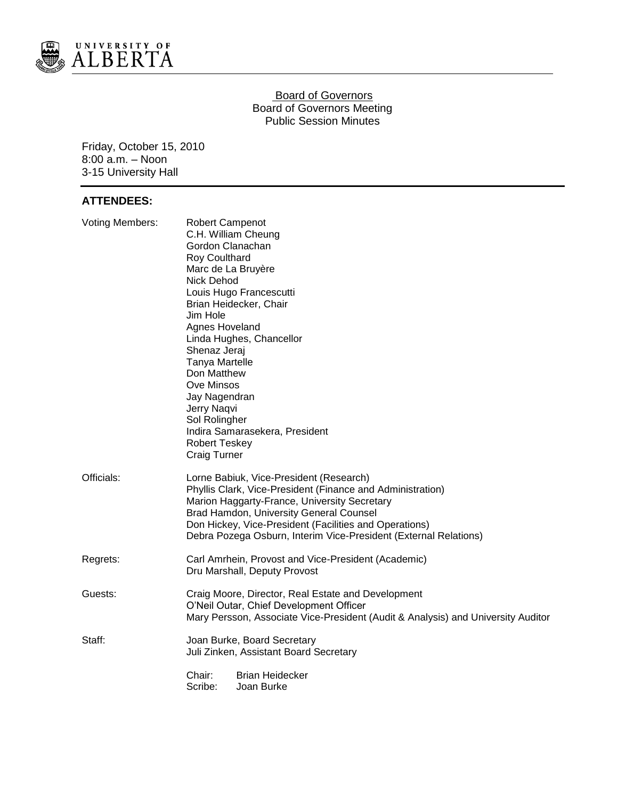

### **Board of Governors** Board of Governors Meeting Public Session Minutes

Friday, October 15, 2010 8:00 a.m. – Noon 3-15 University Hall

# **ATTENDEES:**

| <b>Voting Members:</b> | <b>Robert Campenot</b><br>C.H. William Cheung<br>Gordon Clanachan<br>Roy Coulthard<br>Marc de La Bruyère<br><b>Nick Dehod</b><br>Louis Hugo Francescutti<br>Brian Heidecker, Chair<br>Jim Hole<br>Agnes Hoveland<br>Linda Hughes, Chancellor<br>Shenaz Jeraj<br>Tanya Martelle<br>Don Matthew<br>Ove Minsos<br>Jay Nagendran<br>Jerry Naqvi<br>Sol Rolingher<br>Indira Samarasekera, President<br><b>Robert Teskey</b><br><b>Craig Turner</b> |
|------------------------|-----------------------------------------------------------------------------------------------------------------------------------------------------------------------------------------------------------------------------------------------------------------------------------------------------------------------------------------------------------------------------------------------------------------------------------------------|
| Officials:             | Lorne Babiuk, Vice-President (Research)<br>Phyllis Clark, Vice-President (Finance and Administration)<br>Marion Haggarty-France, University Secretary<br>Brad Hamdon, University General Counsel<br>Don Hickey, Vice-President (Facilities and Operations)<br>Debra Pozega Osburn, Interim Vice-President (External Relations)                                                                                                                |
| Regrets:               | Carl Amrhein, Provost and Vice-President (Academic)<br>Dru Marshall, Deputy Provost                                                                                                                                                                                                                                                                                                                                                           |
| Guests:                | Craig Moore, Director, Real Estate and Development<br>O'Neil Outar, Chief Development Officer<br>Mary Persson, Associate Vice-President (Audit & Analysis) and University Auditor                                                                                                                                                                                                                                                             |
| Staff:                 | Joan Burke, Board Secretary<br>Juli Zinken, Assistant Board Secretary<br>Chair:<br><b>Brian Heidecker</b><br>Scribe:<br>Joan Burke                                                                                                                                                                                                                                                                                                            |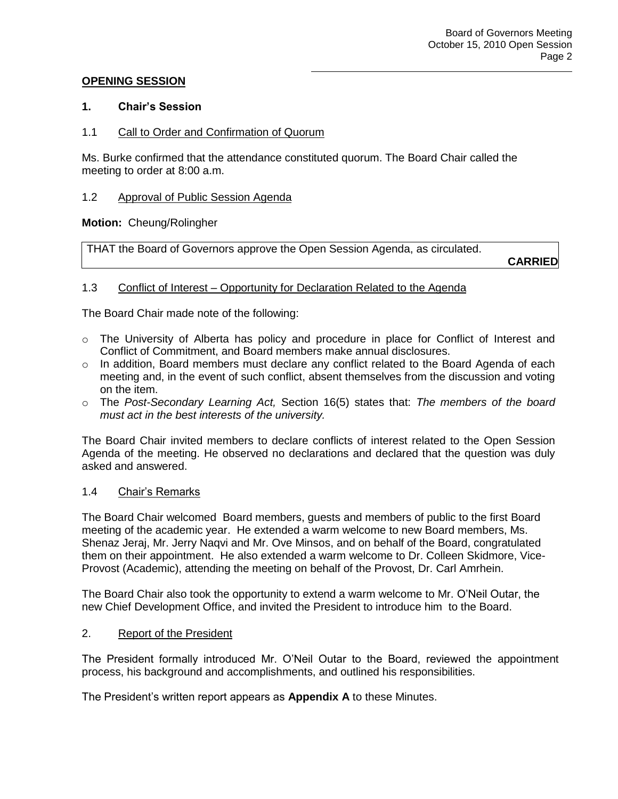# **OPENING SESSION**

### **1. Chair's Session**

### 1.1 Call to Order and Confirmation of Quorum

Ms. Burke confirmed that the attendance constituted quorum. The Board Chair called the meeting to order at 8:00 a.m.

### 1.2 Approval of Public Session Agenda

### **Motion:** Cheung/Rolingher

THAT the Board of Governors approve the Open Session Agenda, as circulated.

**CARRIED**

# 1.3 Conflict of Interest – Opportunity for Declaration Related to the Agenda

The Board Chair made note of the following:

- $\circ$  The University of Alberta has policy and procedure in place for Conflict of Interest and Conflict of Commitment, and Board members make annual disclosures.
- $\circ$  In addition, Board members must declare any conflict related to the Board Agenda of each meeting and, in the event of such conflict, absent themselves from the discussion and voting on the item.
- o The *Post-Secondary Learning Act,* Section 16(5) states that: *The members of the board must act in the best interests of the university.*

The Board Chair invited members to declare conflicts of interest related to the Open Session Agenda of the meeting. He observed no declarations and declared that the question was duly asked and answered.

#### 1.4 Chair's Remarks

The Board Chair welcomed Board members, guests and members of public to the first Board meeting of the academic year. He extended a warm welcome to new Board members, Ms. Shenaz Jeraj, Mr. Jerry Naqvi and Mr. Ove Minsos, and on behalf of the Board, congratulated them on their appointment. He also extended a warm welcome to Dr. Colleen Skidmore, Vice-Provost (Academic), attending the meeting on behalf of the Provost, Dr. Carl Amrhein.

The Board Chair also took the opportunity to extend a warm welcome to Mr. O'Neil Outar, the new Chief Development Office, and invited the President to introduce him to the Board.

#### 2. Report of the President

The President formally introduced Mr. O'Neil Outar to the Board, reviewed the appointment process, his background and accomplishments, and outlined his responsibilities.

The President's written report appears as **Appendix A** to these Minutes.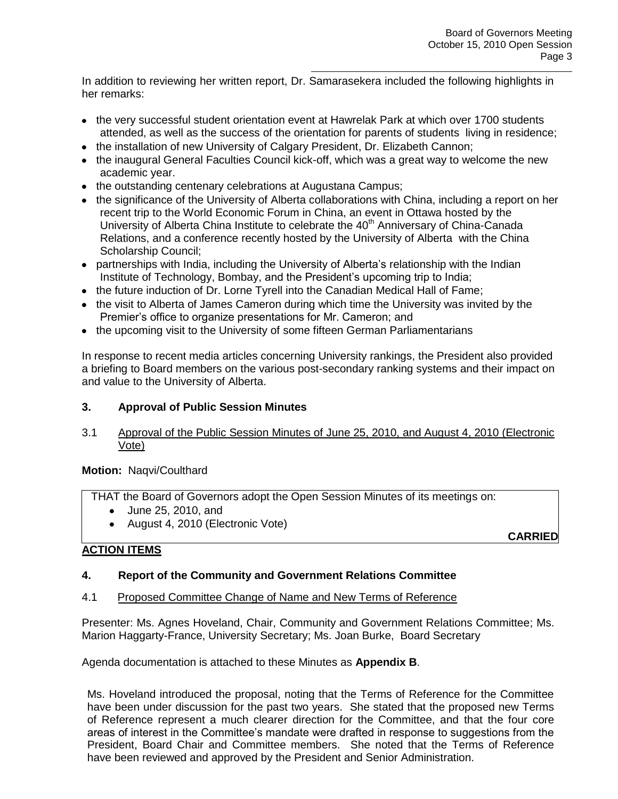In addition to reviewing her written report, Dr. Samarasekera included the following highlights in her remarks:

- the very successful student orientation event at Hawrelak Park at which over 1700 students attended, as well as the success of the orientation for parents of students living in residence;
- the installation of new University of Calgary President, Dr. Elizabeth Cannon;
- the inaugural General Faculties Council kick-off, which was a great way to welcome the new academic year.
- the outstanding centenary celebrations at Augustana Campus;
- the significance of the University of Alberta collaborations with China, including a report on her recent trip to the World Economic Forum in China, an event in Ottawa hosted by the University of Alberta China Institute to celebrate the 40<sup>th</sup> Anniversary of China-Canada Relations, and a conference recently hosted by the University of Alberta with the China Scholarship Council;
- partnerships with India, including the University of Alberta's relationship with the Indian Institute of Technology, Bombay, and the President's upcoming trip to India;
- the future induction of Dr. Lorne Tyrell into the Canadian Medical Hall of Fame;
- the visit to Alberta of James Cameron during which time the University was invited by the Premier's office to organize presentations for Mr. Cameron; and
- the upcoming visit to the University of some fifteen German Parliamentarians

In response to recent media articles concerning University rankings, the President also provided a briefing to Board members on the various post-secondary ranking systems and their impact on and value to the University of Alberta.

# **3. Approval of Public Session Minutes**

3.1 Approval of the Public Session Minutes of June 25, 2010, and August 4, 2010 (Electronic Vote)

**Motion:** Naqvi/Coulthard

THAT the Board of Governors adopt the Open Session Minutes of its meetings on:

- June 25, 2010, and
- August 4, 2010 (Electronic Vote)

**CARRIED**

# **ACTION ITEMS**

# **4. Report of the Community and Government Relations Committee**

#### 4.1 Proposed Committee Change of Name and New Terms of Reference

Presenter: Ms. Agnes Hoveland, Chair, Community and Government Relations Committee; Ms. Marion Haggarty-France, University Secretary; Ms. Joan Burke, Board Secretary

Agenda documentation is attached to these Minutes as **Appendix B**.

Ms. Hoveland introduced the proposal, noting that the Terms of Reference for the Committee have been under discussion for the past two years. She stated that the proposed new Terms of Reference represent a much clearer direction for the Committee, and that the four core areas of interest in the Committee's mandate were drafted in response to suggestions from the President, Board Chair and Committee members. She noted that the Terms of Reference have been reviewed and approved by the President and Senior Administration.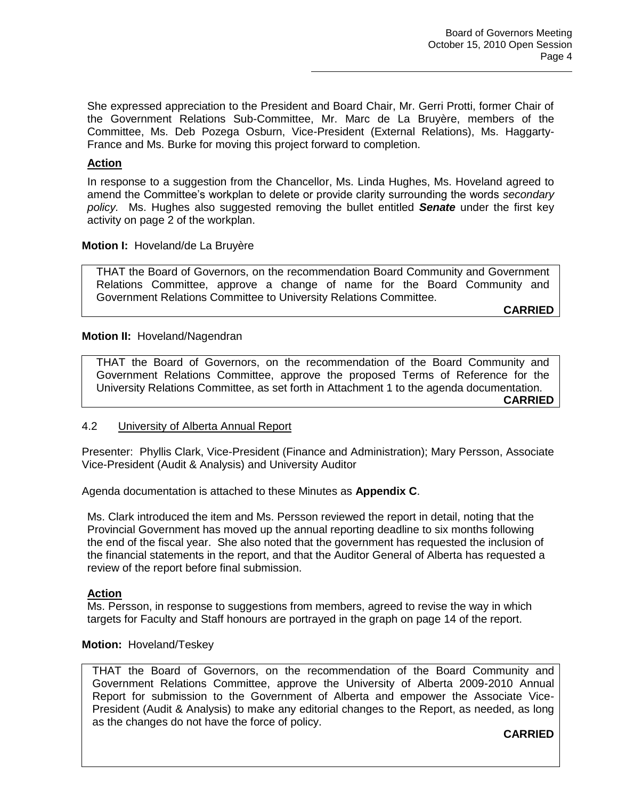She expressed appreciation to the President and Board Chair, Mr. Gerri Protti, former Chair of the Government Relations Sub-Committee, Mr. Marc de La Bruyère, members of the Committee, Ms. Deb Pozega Osburn, Vice-President (External Relations), Ms. Haggarty-France and Ms. Burke for moving this project forward to completion.

### **Action**

In response to a suggestion from the Chancellor, Ms. Linda Hughes, Ms. Hoveland agreed to amend the Committee's workplan to delete or provide clarity surrounding the words *secondary policy.* Ms. Hughes also suggested removing the bullet entitled *Senate* under the first key activity on page 2 of the workplan.

#### **Motion I:** Hoveland/de La Bruyère

THAT the Board of Governors, on the recommendation Board Community and Government Relations Committee, approve a change of name for the Board Community and Government Relations Committee to University Relations Committee.

**CARRIED**

### **Motion II:** Hoveland/Nagendran

THAT the Board of Governors, on the recommendation of the Board Community and Government Relations Committee, approve the proposed Terms of Reference for the University Relations Committee, as set forth in Attachment 1 to the agenda documentation.

**CARRIED**

#### 4.2 University of Alberta Annual Report

Presenter: Phyllis Clark, Vice-President (Finance and Administration); Mary Persson, Associate Vice-President (Audit & Analysis) and University Auditor

Agenda documentation is attached to these Minutes as **Appendix C**.

Ms. Clark introduced the item and Ms. Persson reviewed the report in detail, noting that the Provincial Government has moved up the annual reporting deadline to six months following the end of the fiscal year. She also noted that the government has requested the inclusion of the financial statements in the report, and that the Auditor General of Alberta has requested a review of the report before final submission.

#### **Action**

Ms. Persson, in response to suggestions from members, agreed to revise the way in which targets for Faculty and Staff honours are portrayed in the graph on page 14 of the report.

#### **Motion:** Hoveland/Teskey

THAT the Board of Governors, on the recommendation of the Board Community and Government Relations Committee, approve the University of Alberta 2009-2010 Annual Report for submission to the Government of Alberta and empower the Associate Vice-President (Audit & Analysis) to make any editorial changes to the Report, as needed, as long as the changes do not have the force of policy.

**CARRIED**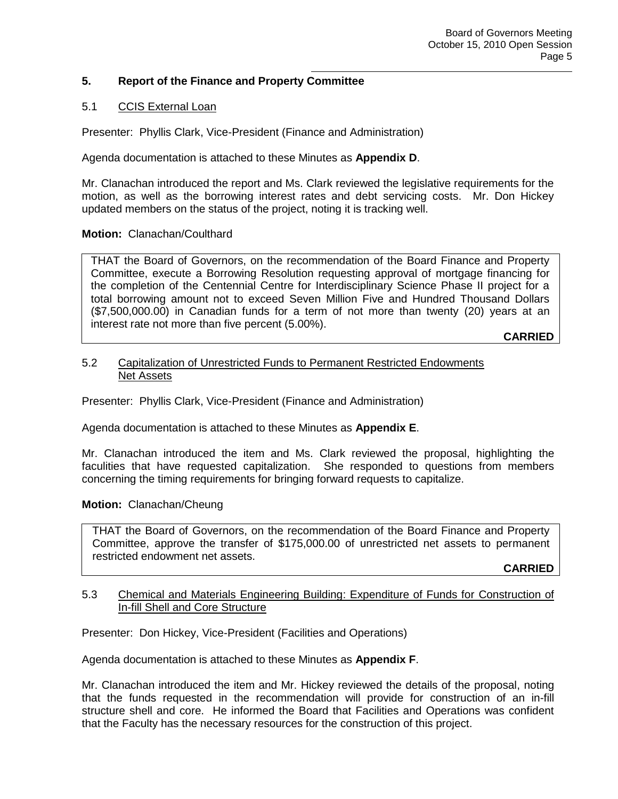# **5. Report of the Finance and Property Committee**

# 5.1 CCIS External Loan

Presenter: Phyllis Clark, Vice-President (Finance and Administration)

Agenda documentation is attached to these Minutes as **Appendix D**.

Mr. Clanachan introduced the report and Ms. Clark reviewed the legislative requirements for the motion, as well as the borrowing interest rates and debt servicing costs. Mr. Don Hickey updated members on the status of the project, noting it is tracking well.

# **Motion:** Clanachan/Coulthard

THAT the Board of Governors, on the recommendation of the Board Finance and Property Committee, execute a Borrowing Resolution requesting approval of mortgage financing for the completion of the Centennial Centre for Interdisciplinary Science Phase II project for a total borrowing amount not to exceed Seven Million Five and Hundred Thousand Dollars (\$7,500,000.00) in Canadian funds for a term of not more than twenty (20) years at an interest rate not more than five percent (5.00%).

**CARRIED**

### 5.2 Capitalization of Unrestricted Funds to Permanent Restricted Endowments Net Assets

Presenter: Phyllis Clark, Vice-President (Finance and Administration)

Agenda documentation is attached to these Minutes as **Appendix E**.

Mr. Clanachan introduced the item and Ms. Clark reviewed the proposal, highlighting the faculities that have requested capitalization. She responded to questions from members concerning the timing requirements for bringing forward requests to capitalize.

# **Motion:** Clanachan/Cheung

THAT the Board of Governors, on the recommendation of the Board Finance and Property Committee, approve the transfer of \$175,000.00 of unrestricted net assets to permanent restricted endowment net assets.

**CARRIED**

# 5.3 Chemical and Materials Engineering Building: Expenditure of Funds for Construction of In-fill Shell and Core Structure

Presenter: Don Hickey, Vice-President (Facilities and Operations)

Agenda documentation is attached to these Minutes as **Appendix F**.

Mr. Clanachan introduced the item and Mr. Hickey reviewed the details of the proposal, noting that the funds requested in the recommendation will provide for construction of an in-fill structure shell and core. He informed the Board that Facilities and Operations was confident that the Faculty has the necessary resources for the construction of this project.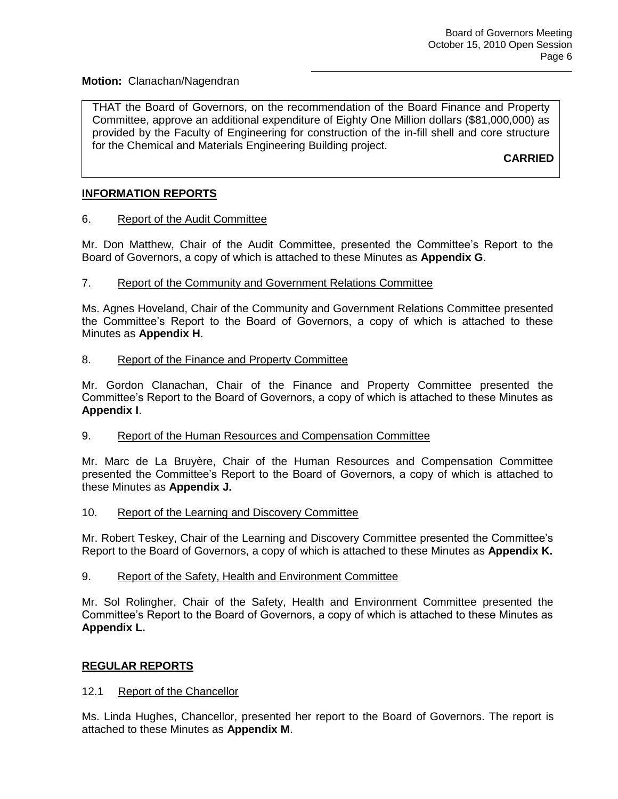### **Motion:** Clanachan/Nagendran

THAT the Board of Governors, on the recommendation of the Board Finance and Property Committee, approve an additional expenditure of Eighty One Million dollars (\$81,000,000) as provided by the Faculty of Engineering for construction of the in-fill shell and core structure for the Chemical and Materials Engineering Building project.

**CARRIED**

# **INFORMATION REPORTS**

# 6. Report of the Audit Committee

Mr. Don Matthew, Chair of the Audit Committee, presented the Committee's Report to the Board of Governors, a copy of which is attached to these Minutes as **Appendix G**.

### 7. Report of the Community and Government Relations Committee

Ms. Agnes Hoveland, Chair of the Community and Government Relations Committee presented the Committee's Report to the Board of Governors, a copy of which is attached to these Minutes as **Appendix H**.

### 8. Report of the Finance and Property Committee

Mr. Gordon Clanachan, Chair of the Finance and Property Committee presented the Committee's Report to the Board of Governors, a copy of which is attached to these Minutes as **Appendix I**.

#### 9. Report of the Human Resources and Compensation Committee

Mr. Marc de La Bruyère, Chair of the Human Resources and Compensation Committee presented the Committee's Report to the Board of Governors, a copy of which is attached to these Minutes as **Appendix J.**

#### 10. Report of the Learning and Discovery Committee

Mr. Robert Teskey, Chair of the Learning and Discovery Committee presented the Committee's Report to the Board of Governors, a copy of which is attached to these Minutes as **Appendix K.**

#### 9. Report of the Safety, Health and Environment Committee

Mr. Sol Rolingher, Chair of the Safety, Health and Environment Committee presented the Committee's Report to the Board of Governors, a copy of which is attached to these Minutes as **Appendix L.**

# **REGULAR REPORTS**

# 12.1 Report of the Chancellor

Ms. Linda Hughes, Chancellor, presented her report to the Board of Governors. The report is attached to these Minutes as **Appendix M**.